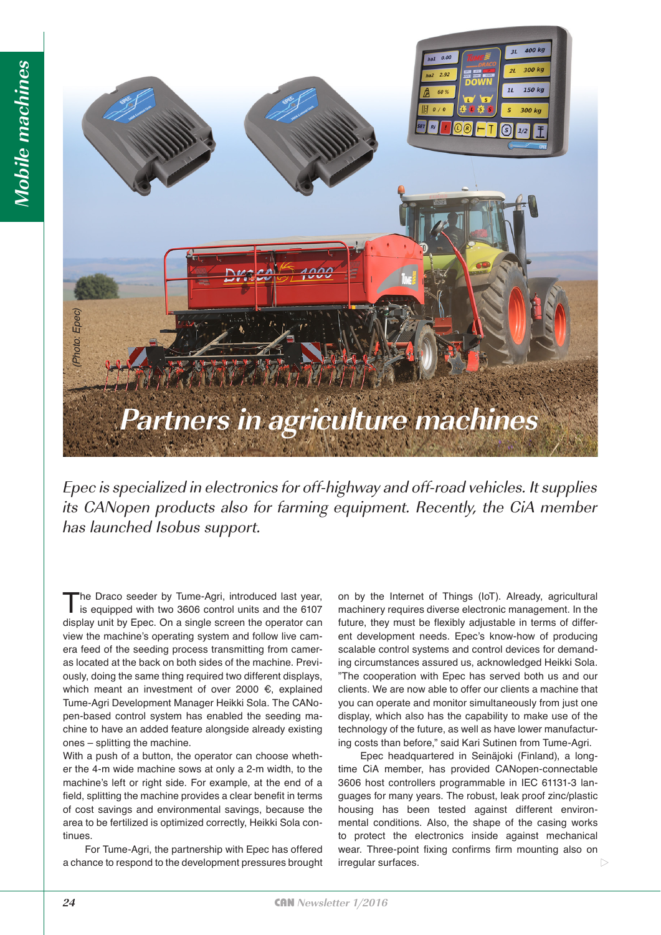

Epec is specialized in electronics for off-highway and off-road vehicles. It supplies its CANopen products also for farming equipment. Recently, the CiA member has launched Isobus support.

The Draco seeder by Tume-Agri, introduced last year, is equipped with two 3606 control units and the 6107 display unit by Epec. On a single screen the operator can view the machine's operating system and follow live camera feed of the seeding process transmitting from cameras located at the back on both sides of the machine. Previously, doing the same thing required two different displays, which meant an investment of over 2000  $\epsilon$ , explained Tume-Agri Development Manager Heikki Sola. The CANopen-based control system has enabled the seeding machine to have an added feature alongside already existing ones – splitting the machine.

With a push of a button, the operator can choose whether the 4-m wide machine sows at only a 2-m width, to the machine's left or right side. For example, at the end of a field, splitting the machine provides a clear benefit in terms of cost savings and environmental savings, because the area to be fertilized is optimized correctly, Heikki Sola continues.

For Tume-Agri, the partnership with Epec has offered a chance to respond to the development pressures brought on by the Internet of Things (IoT). Already, agricultural machinery requires diverse electronic management. In the future, they must be flexibly adjustable in terms of different development needs. Epec's know-how of producing scalable control systems and control devices for demanding circumstances assured us, acknowledged Heikki Sola. "The cooperation with Epec has served both us and our clients. We are now able to offer our clients a machine that you can operate and monitor simultaneously from just one display, which also has the capability to make use of the technology of the future, as well as have lower manufacturing costs than before," said Kari Sutinen from Tume-Agri.

Epec headquartered in Seinäjoki (Finland), a longtime CiA member, has provided CANopen-connectable 3606 host controllers programmable in IEC 61131-3 languages for many years. The robust, leak proof zinc/plastic housing has been tested against different environmental conditions. Also, the shape of the casing works to protect the electronics inside against mechanical wear. Three-point fixing confirms firm mounting also on irregular surfaces.  $\triangleright$